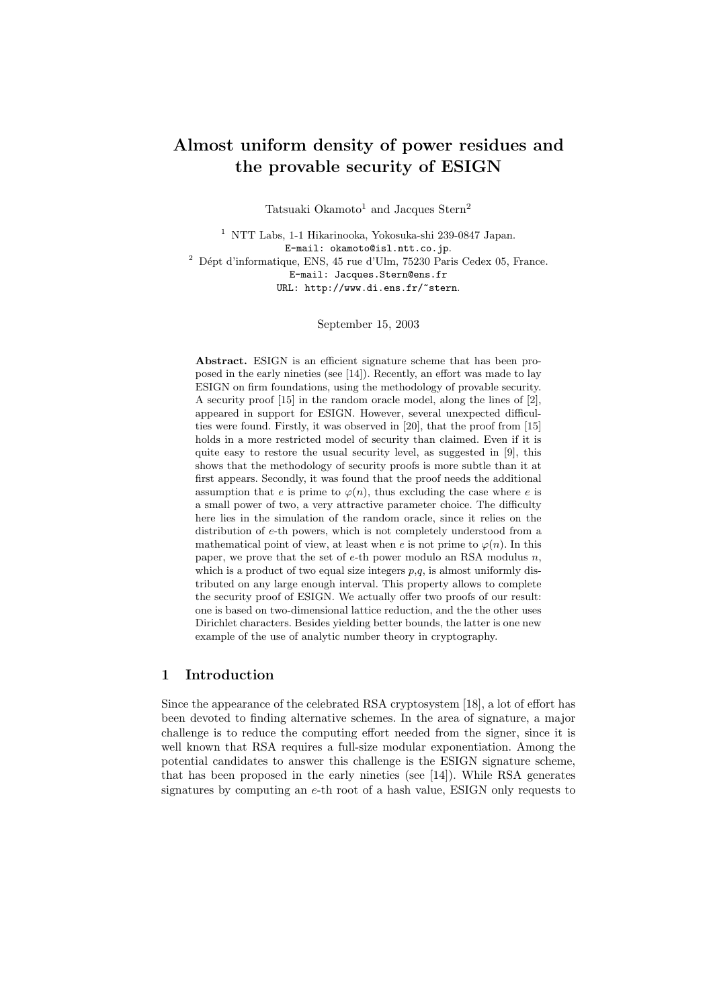# Almost uniform density of power residues and the provable security of ESIGN

Tatsuaki Okamoto<sup>1</sup> and Jacques Stern<sup>2</sup>

<sup>1</sup> NTT Labs, 1-1 Hikarinooka, Yokosuka-shi 239-0847 Japan. E-mail: okamoto@isl.ntt.co.jp.  $^2$  Dépt d'informatique, ENS, 45 rue d'Ulm, 75230 Paris Cedex 05, France. E-mail: Jacques.Stern@ens.fr URL: http://www.di.ens.fr/~stern.

September 15, 2003

Abstract. ESIGN is an efficient signature scheme that has been proposed in the early nineties (see [14]). Recently, an effort was made to lay ESIGN on firm foundations, using the methodology of provable security. A security proof [15] in the random oracle model, along the lines of [2], appeared in support for ESIGN. However, several unexpected difficulties were found. Firstly, it was observed in [20], that the proof from [15] holds in a more restricted model of security than claimed. Even if it is quite easy to restore the usual security level, as suggested in [9], this shows that the methodology of security proofs is more subtle than it at first appears. Secondly, it was found that the proof needs the additional assumption that e is prime to  $\varphi(n)$ , thus excluding the case where e is a small power of two, a very attractive parameter choice. The difficulty here lies in the simulation of the random oracle, since it relies on the distribution of e-th powers, which is not completely understood from a mathematical point of view, at least when e is not prime to  $\varphi(n)$ . In this paper, we prove that the set of  $e$ -th power modulo an RSA modulus  $n$ , which is a product of two equal size integers  $p,q$ , is almost uniformly distributed on any large enough interval. This property allows to complete the security proof of ESIGN. We actually offer two proofs of our result: one is based on two-dimensional lattice reduction, and the the other uses Dirichlet characters. Besides yielding better bounds, the latter is one new example of the use of analytic number theory in cryptography.

# 1 Introduction

Since the appearance of the celebrated RSA cryptosystem [18], a lot of effort has been devoted to finding alternative schemes. In the area of signature, a major challenge is to reduce the computing effort needed from the signer, since it is well known that RSA requires a full-size modular exponentiation. Among the potential candidates to answer this challenge is the ESIGN signature scheme, that has been proposed in the early nineties (see [14]). While RSA generates signatures by computing an e-th root of a hash value, ESIGN only requests to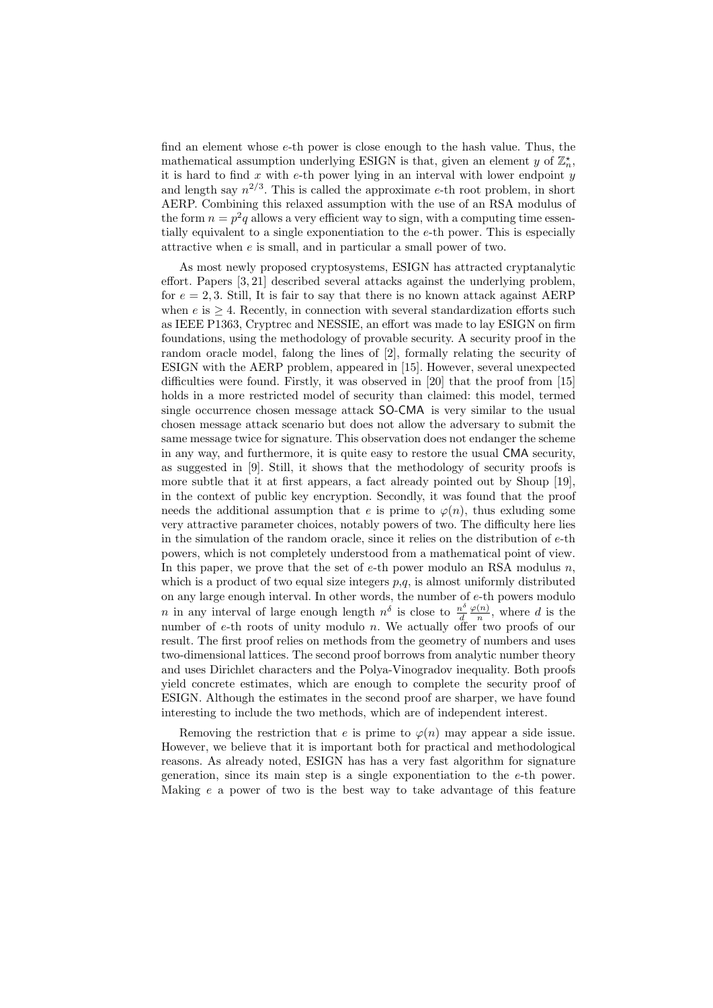find an element whose e-th power is close enough to the hash value. Thus, the mathematical assumption underlying ESIGN is that, given an element y of  $\mathbb{Z}_n^*$ , it is hard to find  $x$  with  $e$ -th power lying in an interval with lower endpoint  $y$ and length say  $n^{2/3}$ . This is called the approximate e-th root problem, in short AERP. Combining this relaxed assumption with the use of an RSA modulus of the form  $n = p^2q$  allows a very efficient way to sign, with a computing time essentially equivalent to a single exponentiation to the e-th power. This is especially attractive when  $e$  is small, and in particular a small power of two.

As most newly proposed cryptosystems, ESIGN has attracted cryptanalytic effort. Papers [3, 21] described several attacks against the underlying problem, for  $e = 2, 3$ . Still, It is fair to say that there is no known attack against AERP when  $e$  is  $\geq 4$ . Recently, in connection with several standardization efforts such as IEEE P1363, Cryptrec and NESSIE, an effort was made to lay ESIGN on firm foundations, using the methodology of provable security. A security proof in the random oracle model, falong the lines of [2], formally relating the security of ESIGN with the AERP problem, appeared in [15]. However, several unexpected difficulties were found. Firstly, it was observed in [20] that the proof from [15] holds in a more restricted model of security than claimed: this model, termed single occurrence chosen message attack SO-CMA is very similar to the usual chosen message attack scenario but does not allow the adversary to submit the same message twice for signature. This observation does not endanger the scheme in any way, and furthermore, it is quite easy to restore the usual CMA security, as suggested in [9]. Still, it shows that the methodology of security proofs is more subtle that it at first appears, a fact already pointed out by Shoup [19], in the context of public key encryption. Secondly, it was found that the proof needs the additional assumption that e is prime to  $\varphi(n)$ , thus exluding some very attractive parameter choices, notably powers of two. The difficulty here lies in the simulation of the random oracle, since it relies on the distribution of e-th powers, which is not completely understood from a mathematical point of view. In this paper, we prove that the set of  $e$ -th power modulo an RSA modulus  $n$ , which is a product of two equal size integers  $p,q$ , is almost uniformly distributed on any large enough interval. In other words, the number of e-th powers modulo *n* in any interval of large enough length  $n^{\delta}$  is close to  $\frac{n^{\delta}}{d}$ d  $\varphi(n)$  $\frac{(n)}{n}$ , where d is the number of e-th roots of unity modulo n. We actually offer two proofs of our result. The first proof relies on methods from the geometry of numbers and uses two-dimensional lattices. The second proof borrows from analytic number theory and uses Dirichlet characters and the Polya-Vinogradov inequality. Both proofs yield concrete estimates, which are enough to complete the security proof of ESIGN. Although the estimates in the second proof are sharper, we have found interesting to include the two methods, which are of independent interest.

Removing the restriction that e is prime to  $\varphi(n)$  may appear a side issue. However, we believe that it is important both for practical and methodological reasons. As already noted, ESIGN has has a very fast algorithm for signature generation, since its main step is a single exponentiation to the e-th power. Making e a power of two is the best way to take advantage of this feature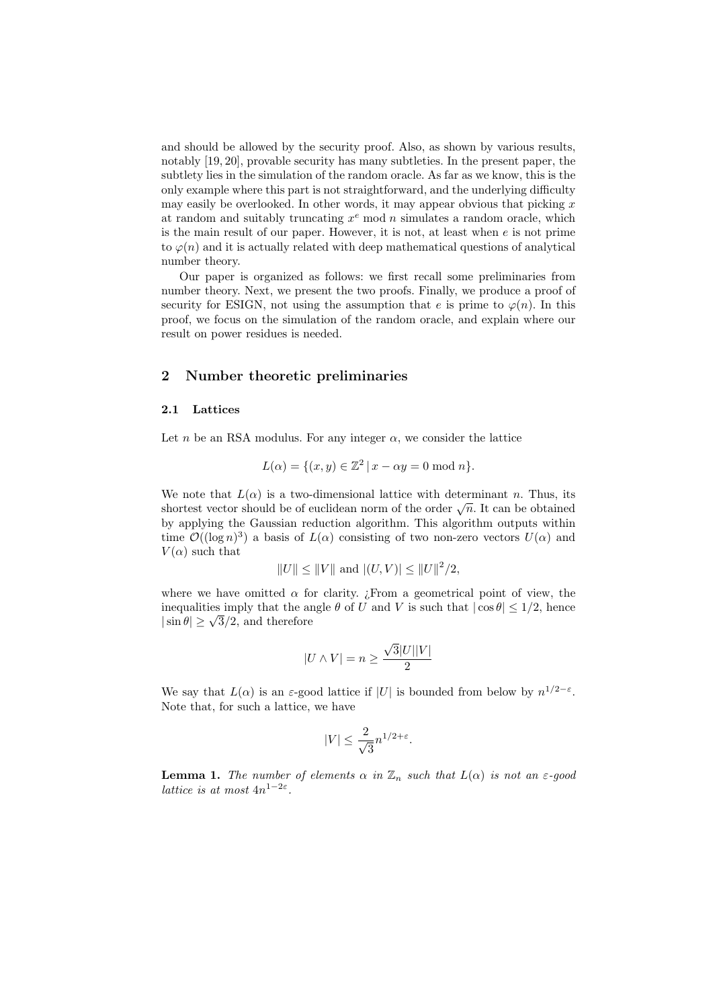and should be allowed by the security proof. Also, as shown by various results, notably [19, 20], provable security has many subtleties. In the present paper, the subtlety lies in the simulation of the random oracle. As far as we know, this is the only example where this part is not straightforward, and the underlying difficulty may easily be overlooked. In other words, it may appear obvious that picking  $x$ at random and suitably truncating  $x^e$  mod n simulates a random oracle, which is the main result of our paper. However, it is not, at least when e is not prime to  $\varphi(n)$  and it is actually related with deep mathematical questions of analytical number theory.

Our paper is organized as follows: we first recall some preliminaries from number theory. Next, we present the two proofs. Finally, we produce a proof of security for ESIGN, not using the assumption that e is prime to  $\varphi(n)$ . In this proof, we focus on the simulation of the random oracle, and explain where our result on power residues is needed.

# 2 Number theoretic preliminaries

### 2.1 Lattices

Let n be an RSA modulus. For any integer  $\alpha$ , we consider the lattice

$$
L(\alpha) = \{(x, y) \in \mathbb{Z}^2 \mid x - \alpha y = 0 \text{ mod } n\}.
$$

We note that  $L(\alpha)$  is a two-dimensional lattice with determinant n. Thus, its we note that  $L(\alpha)$  is a two-dimensional lattice with determinant *n*. Thus, its<br>shortest vector should be of euclidean norm of the order  $\sqrt{n}$ . It can be obtained by applying the Gaussian reduction algorithm. This algorithm outputs within time  $\mathcal{O}((\log n)^3)$  a basis of  $L(\alpha)$  consisting of two non-zero vectors  $U(\alpha)$  and  $V(\alpha)$  such that

$$
||U|| \le ||V||
$$
 and  $|(U, V)| \le ||U||^2/2$ ,

where we have omitted  $\alpha$  for clarity. *i* From a geometrical point of view, the inequalities imply that the angle  $\theta$  of U and V is such that  $|\cos \theta| \leq 1/2$ , hence inequalities imply that the are<br> $|\sin \theta| \geq \sqrt{3}/2$ , and therefore

$$
|U\wedge V|=n\geq \frac{\sqrt{3}|U||V|}{2}
$$

We say that  $L(\alpha)$  is an  $\varepsilon$ -good lattice if |U| is bounded from below by  $n^{1/2-\varepsilon}$ . Note that, for such a lattice, we have

$$
|V| \le \frac{2}{\sqrt{3}} n^{1/2 + \varepsilon}.
$$

**Lemma 1.** The number of elements  $\alpha$  in  $\mathbb{Z}_n$  such that  $L(\alpha)$  is not an  $\varepsilon$ -good lattice is at most  $4n^{1-2\varepsilon}$ .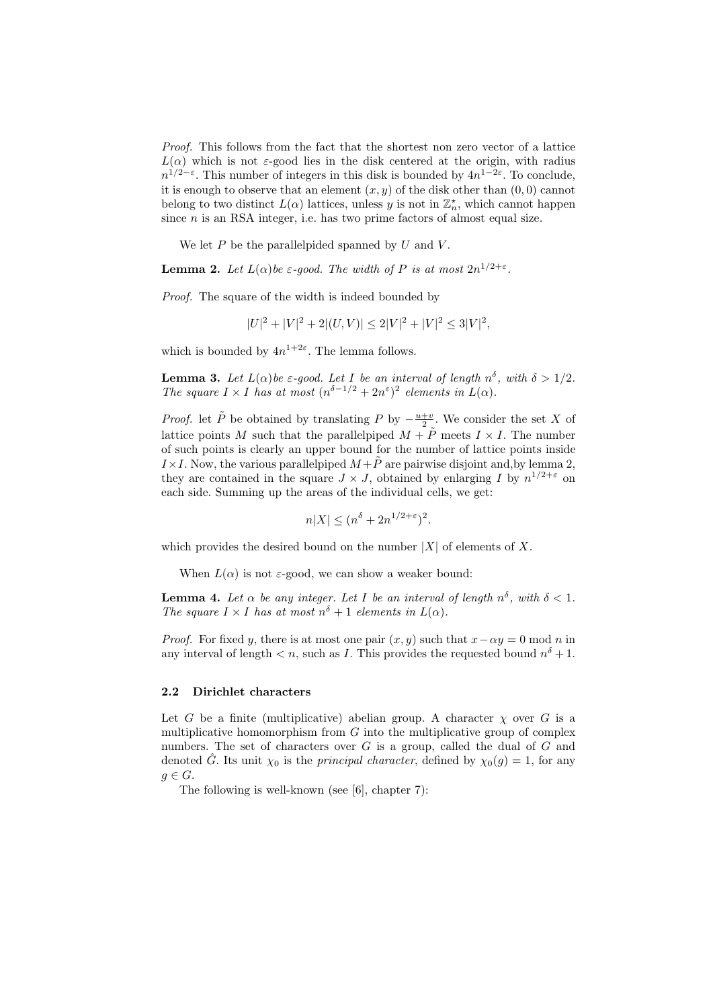Proof. This follows from the fact that the shortest non zero vector of a lattice  $L(\alpha)$  which is not  $\varepsilon$ -good lies in the disk centered at the origin, with radius  $n^{1/2-\epsilon}$ . This number of integers in this disk is bounded by  $4n^{1-2\epsilon}$ . To conclude, it is enough to observe that an element  $(x, y)$  of the disk other than  $(0, 0)$  cannot belong to two distinct  $L(\alpha)$  lattices, unless y is not in  $\mathbb{Z}_n^*$ , which cannot happen since  $n$  is an RSA integer, i.e. has two prime factors of almost equal size.

We let  $P$  be the parallelpided spanned by  $U$  and  $V$ .

**Lemma 2.** Let  $L(\alpha)$  be  $\varepsilon$ -good. The width of P is at most  $2n^{1/2+\varepsilon}$ .

Proof. The square of the width is indeed bounded by

$$
|U|^2 + |V|^2 + 2|(U, V)| \le 2|V|^2 + |V|^2 \le 3|V|^2,
$$

which is bounded by  $4n^{1+2\varepsilon}$ . The lemma follows.

**Lemma 3.** Let  $L(\alpha)$  be  $\varepsilon$ -good. Let I be an interval of length  $n^{\delta}$ , with  $\delta > 1/2$ . The square  $I \times I$  has at most  $(n^{\delta-1/2} + 2n^{\epsilon})^2$  elements in  $L(\alpha)$ .

*Proof.* let  $\tilde{P}$  be obtained by translating P by  $-\frac{u+v}{2}$ . We consider the set X of lattice points M such that the parallelpiped  $M + \tilde{P}$  meets  $I \times I$ . The number of such points is clearly an upper bound for the number of lattice points inside  $I \times I$ . Now, the various parallelpiped  $M+\tilde{P}$  are pairwise disjoint and, by lemma 2, they are contained in the square  $J \times J$ , obtained by enlarging I by  $n^{1/2+\epsilon}$  on each side. Summing up the areas of the individual cells, we get:

$$
n|X| \le (n^{\delta} + 2n^{1/2 + \varepsilon})^2.
$$

which provides the desired bound on the number  $|X|$  of elements of X.

When  $L(\alpha)$  is not  $\varepsilon$ -good, we can show a weaker bound:

**Lemma 4.** Let  $\alpha$  be any integer. Let I be an interval of length  $n^{\delta}$ , with  $\delta$  < 1. The square  $I \times I$  has at most  $n^{\delta} + 1$  elements in  $L(\alpha)$ .

*Proof.* For fixed y, there is at most one pair  $(x, y)$  such that  $x - \alpha y = 0$  mod n in any interval of length  $\langle n, \text{ such as } I$ . This provides the requested bound  $n^{\delta} + 1$ .

## 2.2 Dirichlet characters

Let G be a finite (multiplicative) abelian group. A character  $\chi$  over G is a multiplicative homomorphism from  $G$  into the multiplicative group of complex numbers. The set of characters over  $G$  is a group, called the dual of  $G$  and denoted G. Its unit  $\chi_0$  is the *principal character*, defined by  $\chi_0(g) = 1$ , for any  $g \in G$ .

The following is well-known (see [6], chapter 7):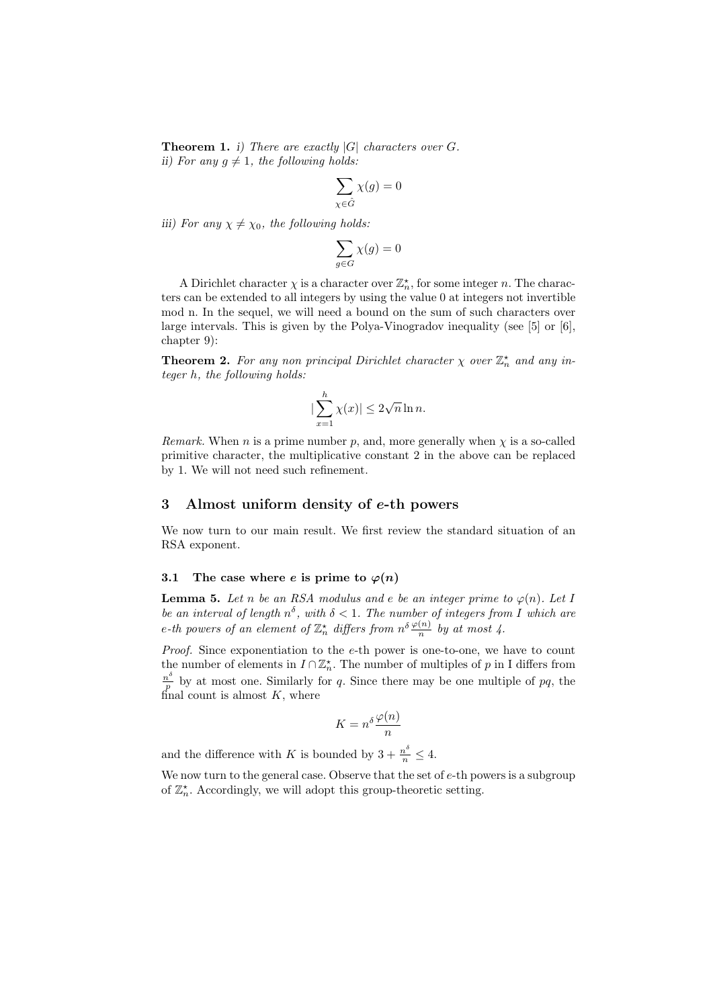**Theorem 1.** i) There are exactly  $|G|$  characters over G. ii) For any  $g \neq 1$ , the following holds:

$$
\sum_{\chi \in \hat{G}} \chi(g) = 0
$$

iii) For any  $\chi \neq \chi_0$ , the following holds:

$$
\sum_{g \in G} \chi(g) = 0
$$

A Dirichlet character  $\chi$  is a character over  $\mathbb{Z}_n^*$ , for some integer n. The characters can be extended to all integers by using the value 0 at integers not invertible mod n. In the sequel, we will need a bound on the sum of such characters over large intervals. This is given by the Polya-Vinogradov inequality (see [5] or [6], chapter 9):

**Theorem 2.** For any non principal Dirichlet character  $\chi$  over  $\mathbb{Z}_n^*$  and any integer h, the following holds:

$$
|\sum_{x=1}^{h} \chi(x)| \le 2\sqrt{n} \ln n.
$$

Remark. When n is a prime number p, and, more generally when  $\chi$  is a so-called primitive character, the multiplicative constant 2 in the above can be replaced by 1. We will not need such refinement.

# 3 Almost uniform density of e-th powers

We now turn to our main result. We first review the standard situation of an RSA exponent.

### 3.1 The case where e is prime to  $\varphi(n)$

**Lemma 5.** Let n be an RSA modulus and e be an integer prime to  $\varphi(n)$ . Let I be an interval of length  $n^{\delta}$ , with  $\delta$  < 1. The number of integers from I which are e-th powers of an element of  $\mathbb{Z}_n^{\star}$  differs from  $n^{\delta} \frac{\varphi(n)}{n}$  by at most 4.

*Proof.* Since exponentiation to the  $e$ -th power is one-to-one, we have to count the number of elements in  $I \cap \mathbb{Z}_n^*$ . The number of multiples of p in I differs from  $n^{\delta}$  $\frac{p^{\circ}}{p}$  by at most one. Similarly for q. Since there may be one multiple of pq, the final count is almost  $K$ , where

$$
K = n^{\delta} \frac{\varphi(n)}{n}
$$

and the difference with K is bounded by  $3 + \frac{n^{\delta}}{n} \leq 4$ .

We now turn to the general case. Observe that the set of  $e$ -th powers is a subgroup of  $\mathbb{Z}_n^{\star}$ . Accordingly, we will adopt this group-theoretic setting.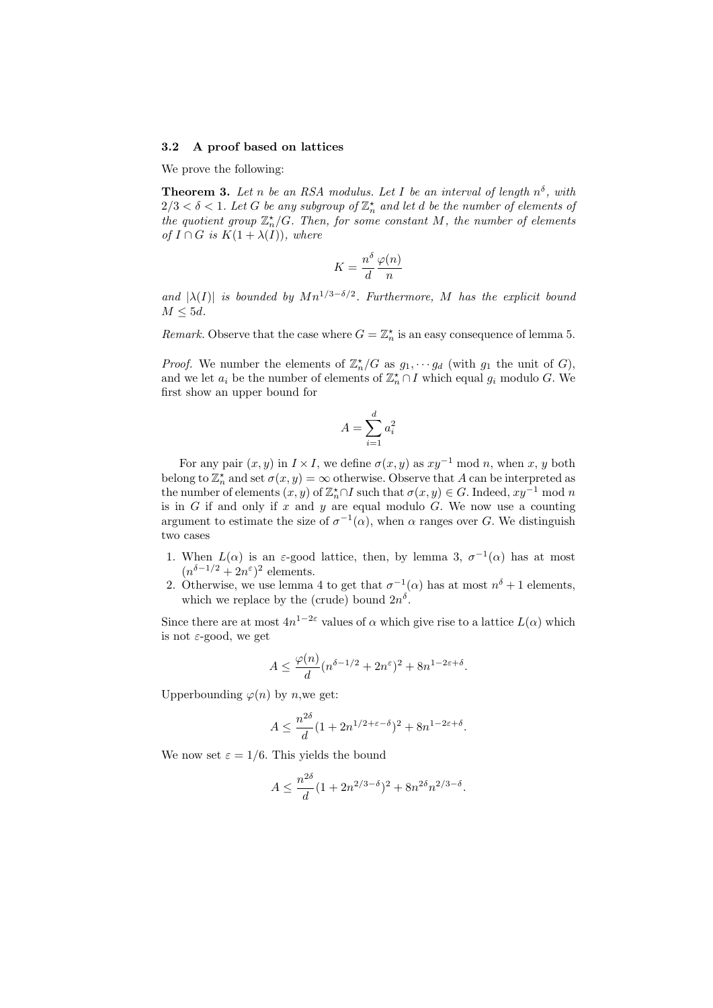#### 3.2 A proof based on lattices

We prove the following:

**Theorem 3.** Let n be an RSA modulus. Let I be an interval of length  $n^{\delta}$ , with  $2/3 < \delta < 1$ . Let G be any subgroup of  $\mathbb{Z}_n^{\star}$  and let d be the number of elements of the quotient group  $\mathbb{Z}_n^{\star}/G$ . Then, for some constant M, the number of elements of  $I \cap G$  is  $K(1 + \lambda(I))$ , where

$$
K = \frac{n^{\delta}}{d} \frac{\varphi(n)}{n}
$$

and  $|\lambda(I)|$  is bounded by  $Mn^{1/3-\delta/2}$ . Furthermore, M has the explicit bound  $M \leq 5d$ .

Remark. Observe that the case where  $G = \mathbb{Z}_n^*$  is an easy consequence of lemma 5.

*Proof.* We number the elements of  $\mathbb{Z}_n^{\star}/G$  as  $g_1, \dots g_d$  (with  $g_1$  the unit of G), and we let  $a_i$  be the number of elements of  $\mathbb{Z}_n^{\star} \cap I$  which equal  $g_i$  modulo G. We first show an upper bound for

$$
A = \sum_{i=1}^{d} a_i^2
$$

For any pair  $(x, y)$  in  $I \times I$ , we define  $\sigma(x, y)$  as  $xy^{-1}$  mod n, when x, y both belong to  $\mathbb{Z}_n^{\star}$  and set  $\sigma(x, y) = \infty$  otherwise. Observe that A can be interpreted as the number of elements  $(x, y)$  of  $\mathbb{Z}_n^{\star} \cap I$  such that  $\sigma(x, y) \in G$ . Indeed,  $xy^{-1}$  mod n is in  $G$  if and only if  $x$  and  $y$  are equal modulo  $G$ . We now use a counting argument to estimate the size of  $\sigma^{-1}(\alpha)$ , when  $\alpha$  ranges over G. We distinguish two cases

- 1. When  $L(\alpha)$  is an  $\varepsilon$ -good lattice, then, by lemma 3,  $\sigma^{-1}(\alpha)$  has at most  $(n^{\delta-1/2}+2n^{\varepsilon})^2$  elements.
- 2. Otherwise, we use lemma 4 to get that  $\sigma^{-1}(\alpha)$  has at most  $n^{\delta} + 1$  elements, which we replace by the (crude) bound  $2n^{\delta}$ .

Since there are at most  $4n^{1-2\varepsilon}$  values of  $\alpha$  which give rise to a lattice  $L(\alpha)$  which is not  $\varepsilon$ -good, we get

$$
A \le \frac{\varphi(n)}{d} (n^{\delta - 1/2} + 2n^{\varepsilon})^2 + 8n^{1 - 2\varepsilon + \delta}.
$$

Upperbounding  $\varphi(n)$  by *n*, we get:

$$
A \le \frac{n^{2\delta}}{d} (1 + 2n^{1/2 + \varepsilon - \delta})^2 + 8n^{1 - 2\varepsilon + \delta}.
$$

We now set  $\varepsilon = 1/6$ . This yields the bound

$$
A \le \frac{n^{2\delta}}{d} (1 + 2n^{2/3 - \delta})^2 + 8n^{2\delta} n^{2/3 - \delta}.
$$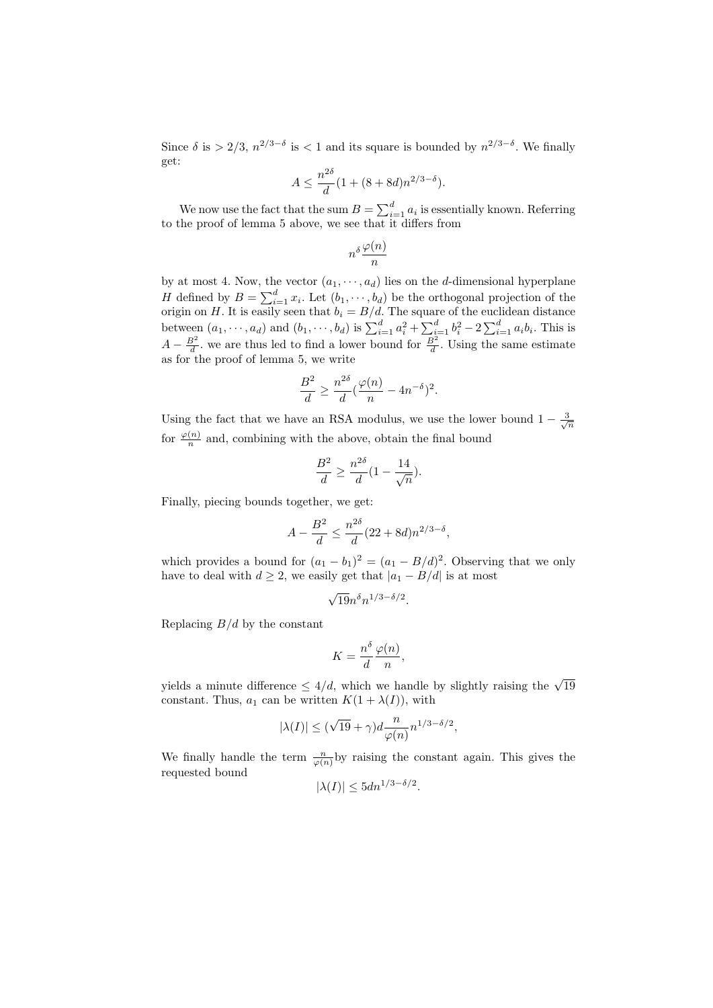Since  $\delta$  is > 2/3,  $n^{2/3-\delta}$  is < 1 and its square is bounded by  $n^{2/3-\delta}$ . We finally get:

$$
A \le \frac{n^{2\delta}}{d} (1 + (8 + 8d)n^{2/3 - \delta}).
$$

We now use the fact that the sum  $B = \sum_{i=1}^{d} a_i$  is essentially known. Referring to the proof of lemma 5 above, we see that it differs from

$$
n^{\delta}\frac{\varphi(n)}{n}
$$

by at most 4. Now, the vector  $(a_1, \dots, a_d)$  lies on the *d*-dimensional hyperplane By at most 4. Now, the vector  $(a_1, \dots, a_d)$  has on the a-dimensional hyperplanet  $H$  defined by  $B = \sum_{i=1}^d x_i$ . Let  $(b_1, \dots, b_d)$  be the orthogonal projection of the origin on H. It is easily seen that  $b_i = B/d$ . The square of the euclidean distance<br>between  $(a_1, \dots, a_d)$  and  $(b_1, \dots, b_d)$  is  $\sum_{i=1}^d a_i^2 + \sum_{i=1}^d b_i^2 - 2 \sum_{i=1}^d a_i b_i$ . This is  $A - \frac{B^2}{d}$ , we are thus led to find a lower bound for  $\frac{B^2}{d}$ . Using the same estimate as for the proof of lemma 5, we write

$$
\frac{B^2}{d} \ge \frac{n^{2\delta}}{d} \left(\frac{\varphi(n)}{n} - 4n^{-\delta}\right)^2.
$$

Using the fact that we have an RSA modulus, we use the lower bound  $1 - \frac{3}{\sqrt{n}}$ for  $\frac{\varphi(n)}{n}$  and, combining with the above, obtain the final bound

$$
\frac{B^2}{d} \ge \frac{n^{2\delta}}{d} \left(1 - \frac{14}{\sqrt{n}}\right).
$$

Finally, piecing bounds together, we get:

$$
A - \frac{B^2}{d} \le \frac{n^{2\delta}}{d} (22 + 8d) n^{2/3 - \delta},
$$

which provides a bound for  $(a_1 - b_1)^2 = (a_1 - B/d)^2$ . Observing that we only have to deal with  $d \geq 2$ , we easily get that  $|a_1 - B/d|$  is at most

$$
\sqrt{19n} \delta n^{1/3-\delta/2}.
$$

Replacing  $B/d$  by the constant

$$
K = \frac{n^{\delta}}{d} \frac{\varphi(n)}{n},
$$

yields a minute difference  $\leq 4/d$ , which we handle by slightly raising the  $\sqrt{19}$ constant. Thus,  $a_1$  can be written  $K(1 + \lambda(I))$ , with

$$
|\lambda(I)| \le (\sqrt{19} + \gamma)d \frac{n}{\varphi(n)} n^{1/3 - \delta/2},
$$

We finally handle the term  $\frac{n}{\varphi(n)}$  by raising the constant again. This gives the requested bound

$$
|\lambda(I)| \le 5dn^{1/3 - \delta/2}.
$$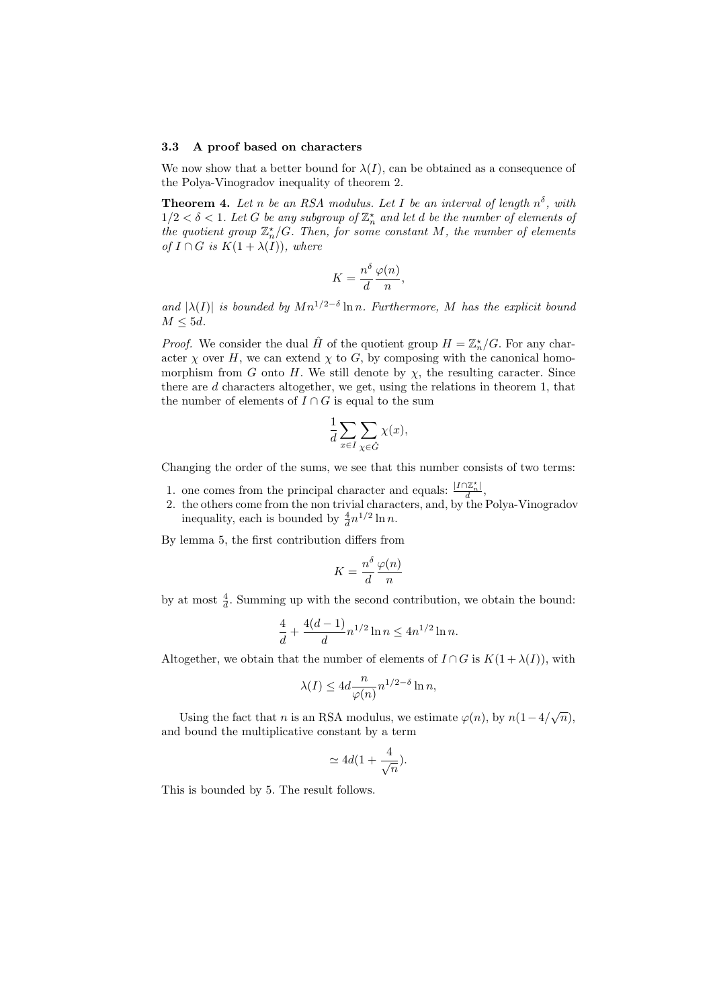#### 3.3 A proof based on characters

We now show that a better bound for  $\lambda(I)$ , can be obtained as a consequence of the Polya-Vinogradov inequality of theorem 2.

**Theorem 4.** Let n be an RSA modulus. Let I be an interval of length  $n^{\delta}$ , with  $1/2 < \delta < 1$ . Let G be any subgroup of  $\mathbb{Z}_n^{\star}$  and let d be the number of elements of the quotient group  $\mathbb{Z}_n^{\star}/G$ . Then, for some constant M, the number of elements of  $I \cap G$  is  $K(1 + \lambda(I))$ , where

$$
K = \frac{n^{\delta}}{d} \frac{\varphi(n)}{n},
$$

and  $|\lambda(I)|$  is bounded by  $Mn^{1/2-\delta}\ln n$ . Furthermore, M has the explicit bound  $M \leq 5d$ .

*Proof.* We consider the dual  $\hat{H}$  of the quotient group  $H = \mathbb{Z}_n^{\star}/G$ . For any character  $\chi$  over H, we can extend  $\chi$  to G, by composing with the canonical homomorphism from G onto H. We still denote by  $\chi$ , the resulting caracter. Since there are d characters altogether, we get, using the relations in theorem 1, that the number of elements of  $I \cap G$  is equal to the sum

$$
\frac{1}{d} \sum_{x \in I} \sum_{\chi \in \hat{G}} \chi(x),
$$

Changing the order of the sums, we see that this number consists of two terms:

- 1. one comes from the principal character and equals:  $\frac{|I \cap \mathbb{Z}_n^*|}{d}$ ,
- 2. the others come from the non trivial characters, and, by the Polya-Vinogradov inequality, each is bounded by  $\frac{4}{d}n^{1/2}\ln n$ .

By lemma 5, the first contribution differs from

$$
K = \frac{n^{\delta}}{d} \frac{\varphi(n)}{n}
$$

by at most  $\frac{4}{d}$ . Summing up with the second contribution, we obtain the bound:

$$
\frac{4}{d} + \frac{4(d-1)}{d} n^{1/2} \ln n \le 4n^{1/2} \ln n.
$$

Altogether, we obtain that the number of elements of  $I \cap G$  is  $K(1 + \lambda(I))$ , with

$$
\lambda(I) \le 4d \frac{n}{\varphi(n)} n^{1/2 - \delta} \ln n,
$$

Using the fact that *n* is an RSA modulus, we estimate  $\varphi(n)$ , by  $n(1-4/\sqrt{n})$ , and bound the multiplicative constant by a term

$$
\simeq 4d(1+\frac{4}{\sqrt{n}}).
$$

This is bounded by 5. The result follows.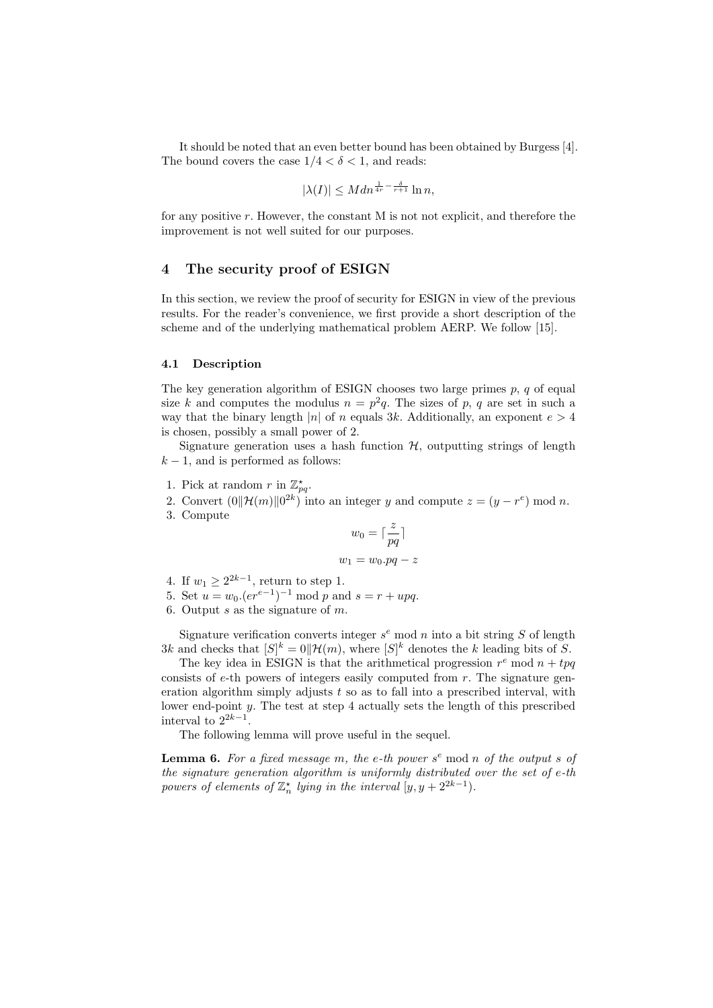It should be noted that an even better bound has been obtained by Burgess [4]. The bound covers the case  $1/4 < \delta < 1$ , and reads:

$$
|\lambda(I)| \leq M dn^{\frac{1}{4r} - \frac{\delta}{r+1}} \ln n,
$$

for any positive r. However, the constant M is not not explicit, and therefore the improvement is not well suited for our purposes.

# 4 The security proof of ESIGN

In this section, we review the proof of security for ESIGN in view of the previous results. For the reader's convenience, we first provide a short description of the scheme and of the underlying mathematical problem AERP. We follow [15].

### 4.1 Description

The key generation algorithm of ESIGN chooses two large primes  $p, q$  of equal size k and computes the modulus  $n = p^2q$ . The sizes of p, q are set in such a way that the binary length |n| of n equals 3k. Additionally, an exponent  $e > 4$ is chosen, possibly a small power of 2.

Signature generation uses a hash function  $H$ , outputting strings of length  $k - 1$ , and is performed as follows:

- 1. Pick at random r in  $\mathbb{Z}_{pq}^{\star}$ .
- 2. Convert  $(0||\mathcal{H}(m)||0^{2k})$  into an integer y and compute  $z = (y r^e) \mod n$ .
- 3. Compute

$$
w_0 = \lceil \frac{z}{pq} \rceil
$$
  

$$
w_1 = w_0 \cdot pq - z
$$

- 4. If  $w_1 \geq 2^{2k-1}$ , return to step 1.
- 5. Set  $u = w_0 \cdot (er^{e-1})^{-1} \text{ mod } p$  and  $s = r + upq$ .
- 6. Output s as the signature of  $m$ .

Signature verification converts integer  $s^e$  mod n into a bit string S of length 3k and checks that  $|S|^k = 0 \|\mathcal{H}(m)$ , where  $|S|^k$  denotes the k leading bits of S.

The key idea in ESIGN is that the arithmetical progression  $r^e$  mod  $n + tpq$ consists of  $e$ -th powers of integers easily computed from  $r$ . The signature generation algorithm simply adjusts  $t$  so as to fall into a prescribed interval, with lower end-point y. The test at step 4 actually sets the length of this prescribed interval to  $2^{2k-1}$ .

The following lemma will prove useful in the sequel.

**Lemma 6.** For a fixed message m, the e-th power  $s^e$  mod n of the output s of the signature generation algorithm is uniformly distributed over the set of e-th powers of elements of  $\mathbb{Z}_n^{\star}$  lying in the interval  $[y, y + 2^{2k-1})$ .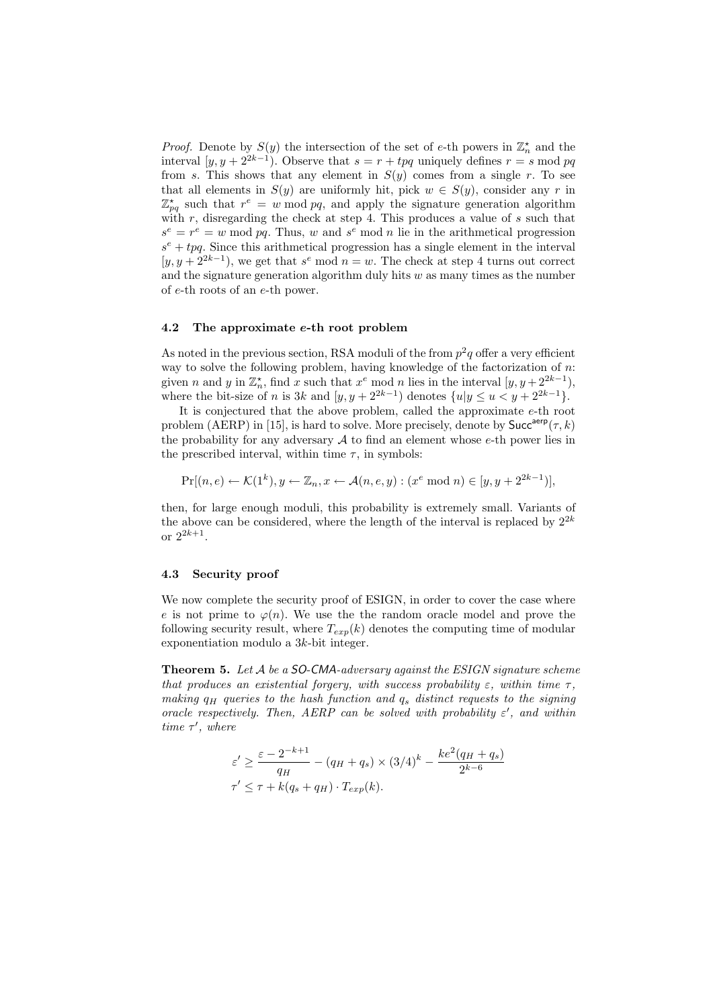*Proof.* Denote by  $S(y)$  the intersection of the set of e-th powers in  $\mathbb{Z}_n^{\star}$  and the interval  $[y, y + 2^{2k-1})$ . Observe that  $s = r + tp$  uniquely defines  $r = s \mod pq$ from s. This shows that any element in  $S(y)$  comes from a single r. To see that all elements in  $S(y)$  are uniformly hit, pick  $w \in S(y)$ , consider any r in  $\mathbb{Z}_{pq}^{\star}$  such that  $r^e = w \mod pq$ , and apply the signature generation algorithm with  $r$ , disregarding the check at step 4. This produces a value of  $s$  such that  $s^e = r^e = w \mod pq$ . Thus, w and  $s^e \mod n$  lie in the arithmetical progression  $s^e + tp$ . Since this arithmetical progression has a single element in the interval  $[y, y + 2^{2k-1}]$ , we get that  $s^e \mod n = w$ . The check at step 4 turns out correct and the signature generation algorithm duly hits  $w$  as many times as the number of e-th roots of an e-th power.

### 4.2 The approximate e-th root problem

As noted in the previous section, RSA moduli of the from  $p^2q$  offer a very efficient way to solve the following problem, having knowledge of the factorization of n: given *n* and *y* in  $\mathbb{Z}_n^{\star}$ , find *x* such that  $x^e$  mod *n* lies in the interval  $[y, y + 2^{2k-1}),$ where the bit-size of n is 3k and  $[y, y + 2^{2k-1}]$  denotes  $\{u | y \le u < y + 2^{2k-1}\}.$ 

It is conjectured that the above problem, called the approximate e-th root problem (AERP) in [15], is hard to solve. More precisely, denote by  $Succ^{aerp}(\tau, k)$ the probability for any adversary  $\mathcal A$  to find an element whose e-th power lies in the prescribed interval, within time  $\tau$ , in symbols:

$$
\Pr[(n, e) \leftarrow \mathcal{K}(1^k), y \leftarrow \mathbb{Z}_n, x \leftarrow \mathcal{A}(n, e, y) : (x^e \bmod n) \in [y, y + 2^{2k-1})],
$$

then, for large enough moduli, this probability is extremely small. Variants of the above can be considered, where the length of the interval is replaced by  $2^{2k}$ or  $2^{2k+1}$ .

### 4.3 Security proof

We now complete the security proof of ESIGN, in order to cover the case where e is not prime to  $\varphi(n)$ . We use the random oracle model and prove the following security result, where  $T_{exp}(k)$  denotes the computing time of modular exponentiation modulo a 3k-bit integer.

**Theorem 5.** Let  $A$  be a SO-CMA-adversary against the ESIGN signature scheme that produces an existential forgery, with success probability  $\varepsilon$ , within time  $\tau$ , making  $q_H$  queries to the hash function and  $q_s$  distinct requests to the signing oracle respectively. Then, AERP can be solved with probability  $\varepsilon'$ , and within time  $\tau'$ , where

$$
\varepsilon' \ge \frac{\varepsilon - 2^{-k+1}}{q_H} - (q_H + q_s) \times (3/4)^k - \frac{ke^2(q_H + q_s)}{2^{k-6}}
$$
  

$$
\tau' \le \tau + k(q_s + q_H) \cdot T_{exp}(k).
$$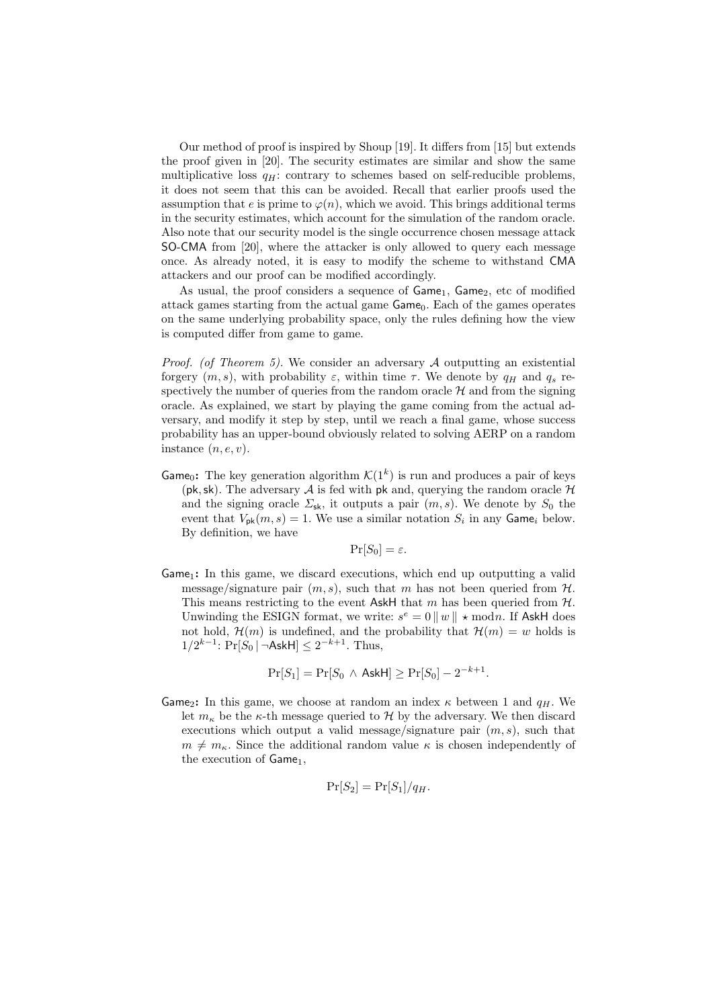Our method of proof is inspired by Shoup [19]. It differs from [15] but extends the proof given in [20]. The security estimates are similar and show the same multiplicative loss  $q_H$ : contrary to schemes based on self-reducible problems, it does not seem that this can be avoided. Recall that earlier proofs used the assumption that e is prime to  $\varphi(n)$ , which we avoid. This brings additional terms in the security estimates, which account for the simulation of the random oracle. Also note that our security model is the single occurrence chosen message attack SO-CMA from [20], where the attacker is only allowed to query each message once. As already noted, it is easy to modify the scheme to withstand CMA attackers and our proof can be modified accordingly.

As usual, the proof considers a sequence of  $Game_1$ ,  $Game_2$ , etc of modified attack games starting from the actual game Game<sub>0</sub>. Each of the games operates on the same underlying probability space, only the rules defining how the view is computed differ from game to game.

*Proof.* (of Theorem 5). We consider an adversary  $A$  outputting an existential forgery  $(m, s)$ , with probability  $\varepsilon$ , within time  $\tau$ . We denote by  $q_H$  and  $q_s$  respectively the number of queries from the random oracle  $H$  and from the signing oracle. As explained, we start by playing the game coming from the actual adversary, and modify it step by step, until we reach a final game, whose success probability has an upper-bound obviously related to solving AERP on a random instance  $(n, e, v)$ .

Game<sub>0</sub>: The key generation algorithm  $\mathcal{K}(1^k)$  is run and produces a pair of keys (pk, sk). The adversary A is fed with pk and, querying the random oracle  $\mathcal H$ and the signing oracle  $\Sigma_{\rm sk}$ , it outputs a pair  $(m, s)$ . We denote by  $S_0$  the event that  $V_{\mathsf{pk}}(m, s) = 1$ . We use a similar notation  $S_i$  in any Game<sub>i</sub> below. By definition, we have

$$
\Pr[S_0] = \varepsilon.
$$

 $Game_1$ : In this game, we discard executions, which end up outputting a valid message/signature pair  $(m, s)$ , such that m has not been queried from  $H$ . This means restricting to the event AskH that m has been queried from  $H$ . Unwinding the ESIGN format, we write:  $s^e = 0 ||w|| \star \text{mod } n$ . If AskH does not hold,  $\mathcal{H}(m)$  is undefined, and the probability that  $\mathcal{H}(m) = w$  holds is  $1/2^{k-1}$ : Pr[ $S_0$  | ¬AskH] ≤  $2^{-k+1}$ . Thus,

$$
\Pr[S_1] = \Pr[S_0 \land \mathsf{AskH}] \ge \Pr[S_0] - 2^{-k+1}.
$$

Game<sub>2</sub>: In this game, we choose at random an index  $\kappa$  between 1 and  $q_H$ . We let  $m_{\kappa}$  be the  $\kappa$ -th message queried to H by the adversary. We then discard executions which output a valid message/signature pair  $(m, s)$ , such that  $m \neq m_{\kappa}$ . Since the additional random value  $\kappa$  is chosen independently of the execution of  $Game<sub>1</sub>$ ,

$$
\Pr[S_2] = \Pr[S_1]/q_H.
$$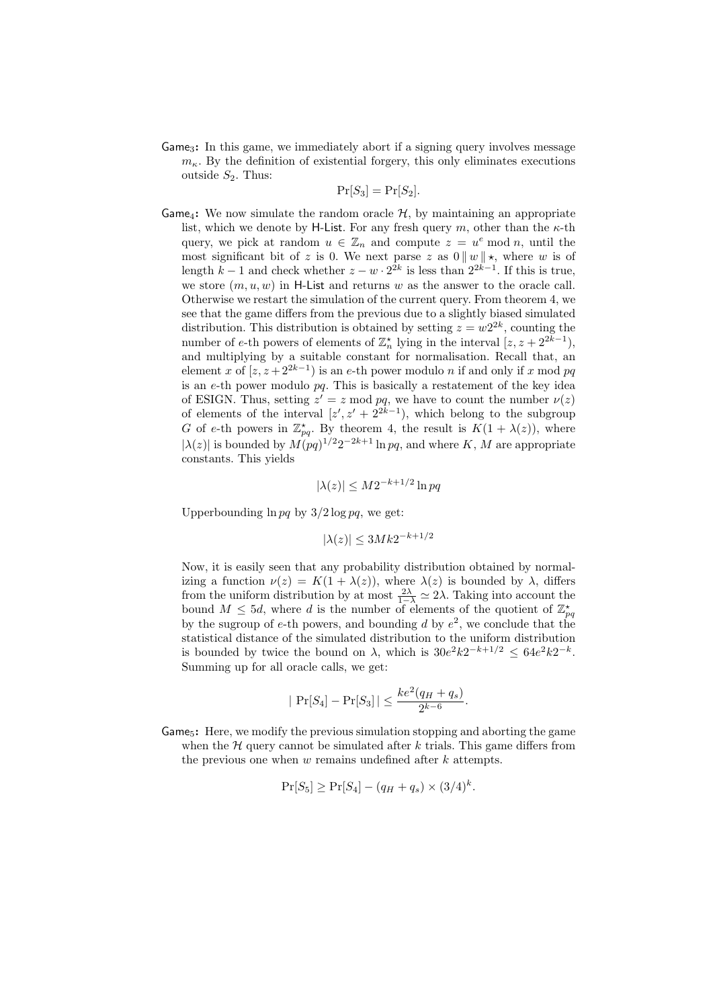Game3: In this game, we immediately abort if a signing query involves message  $m_{\kappa}$ . By the definition of existential forgery, this only eliminates executions outside  $S_2$ . Thus:

$$
\Pr[S_3] = \Pr[S_2].
$$

Game<sub>4</sub>: We now simulate the random oracle  $H$ , by maintaining an appropriate list, which we denote by H-List. For any fresh query m, other than the  $\kappa$ -th query, we pick at random  $u \in \mathbb{Z}_n$  and compute  $z = u^e \mod n$ , until the most significant bit of z is 0. We next parse z as  $0 \parallel w \parallel \star$ , where w is of length  $k-1$  and check whether  $z - w \cdot 2^{2k}$  is less than  $2^{2k-1}$ . If this is true, we store  $(m, u, w)$  in H-List and returns w as the answer to the oracle call. Otherwise we restart the simulation of the current query. From theorem 4, we see that the game differs from the previous due to a slightly biased simulated distribution. This distribution is obtained by setting  $z = w2^{2k}$ , counting the number of e-th powers of elements of  $\mathbb{Z}_n^{\star}$  lying in the interval  $[z, z + 2^{2k-1}),$ and multiplying by a suitable constant for normalisation. Recall that, an element x of  $[z, z+2^{2k-1}]$  is an e-th power modulo n if and only if x mod pq is an e-th power modulo pq. This is basically a restatement of the key idea of ESIGN. Thus, setting  $z' = z \mod pq$ , we have to count the number  $\nu(z)$ of elements of the interval  $[z', z' + 2^{2k-1}]$ , which belong to the subgroup G of e-th powers in  $\mathbb{Z}_{pq}^*$ . By theorem 4, the result is  $K(1 + \lambda(z))$ , where  $|\lambda(z)|$  is bounded by  $M(pq)^{1/2}2^{-2k+1}\ln pq$ , and where K, M are appropriate constants. This yields

$$
|\lambda(z)| \le M 2^{-k+1/2} \ln pq
$$

Upperbounding  $\ln pq$  by  $3/2 \log pq$ , we get:

$$
|\lambda(z)| \le 3Mk2^{-k+1/2}
$$

Now, it is easily seen that any probability distribution obtained by normalizing a function  $\nu(z) = K(1 + \lambda(z))$ , where  $\lambda(z)$  is bounded by  $\lambda$ , differs from the uniform distribution by at most  $\frac{2\lambda}{1-\lambda} \simeq 2\lambda$ . Taking into account the bound  $M \leq 5d$ , where d is the number of elements of the quotient of  $\mathbb{Z}_{pq}^{\star}$ by the sugroup of e-th powers, and bounding d by  $e^2$ , we conclude that the statistical distance of the simulated distribution to the uniform distribution is bounded by twice the bound on  $\lambda$ , which is  $30e^2k2^{-k+1/2} \leq 64e^2k2^{-k}$ . Summing up for all oracle calls, we get:

$$
|\Pr[S_4] - \Pr[S_3]| \le \frac{ke^2(q_H + q_s)}{2^{k-6}}.
$$

**Game<sub>5</sub>:** Here, we modify the previous simulation stopping and aborting the game when the  $H$  query cannot be simulated after k trials. This game differs from the previous one when  $w$  remains undefined after  $k$  attempts.

$$
\Pr[S_5] \ge \Pr[S_4] - (q_H + q_s) \times (3/4)^k.
$$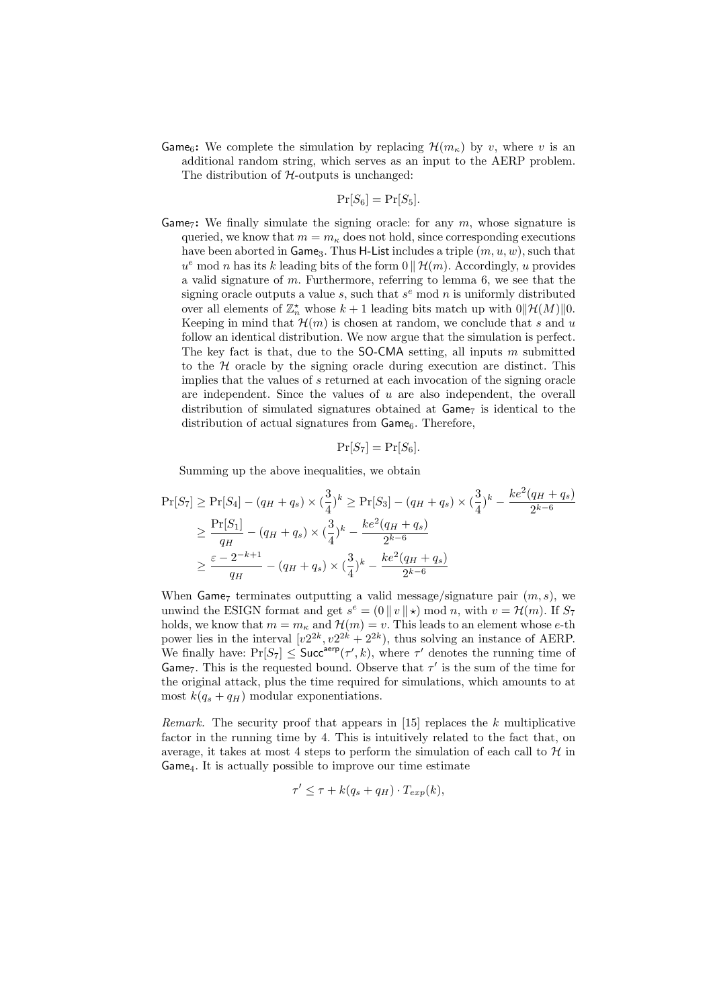**Game**<sub>6</sub>: We complete the simulation by replacing  $\mathcal{H}(m_{\kappa})$  by v, where v is an additional random string, which serves as an input to the AERP problem. The distribution of  $H$ -outputs is unchanged:

$$
\Pr[S_6] = \Pr[S_5].
$$

Game<sub>7</sub>: We finally simulate the signing oracle: for any  $m$ , whose signature is queried, we know that  $m = m_{\kappa}$  does not hold, since corresponding executions have been aborted in Game<sub>3</sub>. Thus H-List includes a triple  $(m, u, w)$ , such that  $u^e \mod n$  has its k leading bits of the form  $0 \parallel \mathcal{H}(m)$ . Accordingly, u provides a valid signature of m. Furthermore, referring to lemma 6, we see that the signing oracle outputs a value  $s$ , such that  $s<sup>e</sup>$  mod n is uniformly distributed over all elements of  $\mathbb{Z}_n^*$  whose  $k+1$  leading bits match up with  $0\|\mathcal{H}(M)\|0$ . Keeping in mind that  $\mathcal{H}(m)$  is chosen at random, we conclude that s and u follow an identical distribution. We now argue that the simulation is perfect. The key fact is that, due to the  $SO-CMA$  setting, all inputs m submitted to the  $H$  oracle by the signing oracle during execution are distinct. This implies that the values of s returned at each invocation of the signing oracle are independent. Since the values of  $u$  are also independent, the overall distribution of simulated signatures obtained at  $\mathsf{Game}_7$  is identical to the distribution of actual signatures from  $Game<sub>6</sub>$ . Therefore,

$$
\Pr[S_7] = \Pr[S_6].
$$

Summing up the above inequalities, we obtain

$$
\Pr[S_7] \ge \Pr[S_4] - (q_H + q_s) \times (\frac{3}{4})^k \ge \Pr[S_3] - (q_H + q_s) \times (\frac{3}{4})^k - \frac{ke^2(q_H + q_s)}{2^{k-6}}
$$
  

$$
\ge \frac{\Pr[S_1]}{q_H} - (q_H + q_s) \times (\frac{3}{4})^k - \frac{ke^2(q_H + q_s)}{2^{k-6}}
$$
  

$$
\ge \frac{\varepsilon - 2^{-k+1}}{q_H} - (q_H + q_s) \times (\frac{3}{4})^k - \frac{ke^2(q_H + q_s)}{2^{k-6}}
$$

When Game<sub>7</sub> terminates outputting a valid message/signature pair  $(m, s)$ , we unwind the ESIGN format and get  $s^e = (0 \mid v \mid \star) \mod n$ , with  $v = \mathcal{H}(m)$ . If  $S_7$ holds, we know that  $m = m_{\kappa}$  and  $\mathcal{H}(m) = v$ . This leads to an element whose e-th power lies in the interval  $[v2^{2k}, v2^{2k} + 2^{2k})$ , thus solving an instance of AERP. We finally have:  $Pr[S_7] \leq$  Succ<sup>aerp</sup> $(\tau', k)$ , where  $\tau'$  denotes the running time of Game<sub>7</sub>. This is the requested bound. Observe that  $\tau'$  is the sum of the time for the original attack, plus the time required for simulations, which amounts to at most  $k(q_s + q_H)$  modular exponentiations.

Remark. The security proof that appears in  $[15]$  replaces the k multiplicative factor in the running time by 4. This is intuitively related to the fact that, on average, it takes at most 4 steps to perform the simulation of each call to  $H$  in Game4. It is actually possible to improve our time estimate

$$
\tau' \leq \tau + k(q_s + q_H) \cdot T_{exp}(k),
$$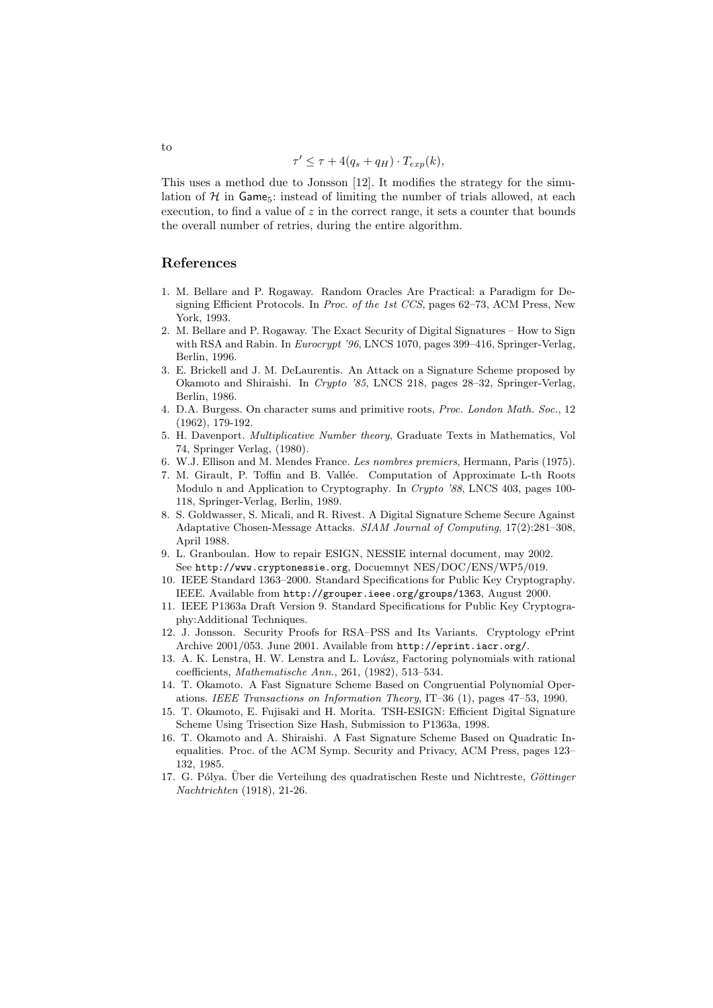$$
\tau' \leq \tau + 4(q_s + q_H) \cdot T_{exp}(k),
$$

This uses a method due to Jonsson [12]. It modifies the strategy for the simulation of  $H$  in Game<sub>5</sub>: instead of limiting the number of trials allowed, at each execution, to find a value of  $z$  in the correct range, it sets a counter that bounds the overall number of retries, during the entire algorithm.

# References

- 1. M. Bellare and P. Rogaway. Random Oracles Are Practical: a Paradigm for Designing Efficient Protocols. In Proc. of the 1st CCS, pages 62–73, ACM Press, New York, 1993.
- 2. M. Bellare and P. Rogaway. The Exact Security of Digital Signatures How to Sign with RSA and Rabin. In Eurocrypt '96, LNCS 1070, pages 399–416, Springer-Verlag, Berlin, 1996.
- 3. E. Brickell and J. M. DeLaurentis. An Attack on a Signature Scheme proposed by Okamoto and Shiraishi. In Crypto '85, LNCS 218, pages 28–32, Springer-Verlag, Berlin, 1986.
- 4. D.A. Burgess. On character sums and primitive roots, Proc. London Math. Soc., 12 (1962), 179-192.
- 5. H. Davenport. Multiplicative Number theory, Graduate Texts in Mathematics, Vol 74, Springer Verlag, (1980).
- 6. W.J. Ellison and M. Mendes France. Les nombres premiers, Hermann, Paris (1975).
- 7. M. Girault, P. Toffin and B. Vallée. Computation of Approximate L-th Roots Modulo n and Application to Cryptography. In Crypto '88, LNCS 403, pages 100- 118, Springer-Verlag, Berlin, 1989.
- 8. S. Goldwasser, S. Micali, and R. Rivest. A Digital Signature Scheme Secure Against Adaptative Chosen-Message Attacks. SIAM Journal of Computing, 17(2):281–308, April 1988.
- 9. L. Granboulan. How to repair ESIGN, NESSIE internal document, may 2002. See http://www.cryptonessie.org, Docuemnyt NES/DOC/ENS/WP5/019.
- 10. IEEE Standard 1363–2000. Standard Specifications for Public Key Cryptography. IEEE. Available from http://grouper.ieee.org/groups/1363, August 2000.
- 11. IEEE P1363a Draft Version 9. Standard Specifications for Public Key Cryptography:Additional Techniques.
- 12. J. Jonsson. Security Proofs for RSA–PSS and Its Variants. Cryptology ePrint Archive 2001/053. June 2001. Available from http://eprint.iacr.org/.
- 13. A. K. Lenstra, H. W. Lenstra and L. Lovász, Factoring polynomials with rational coefficients, Mathematische Ann., 261, (1982), 513–534.
- 14. T. Okamoto. A Fast Signature Scheme Based on Congruential Polynomial Operations. IEEE Transactions on Information Theory, IT–36 (1), pages 47–53, 1990.
- 15. T. Okamoto, E. Fujisaki and H. Morita. TSH-ESIGN: Efficient Digital Signature Scheme Using Trisection Size Hash, Submission to P1363a, 1998.
- 16. T. Okamoto and A. Shiraishi. A Fast Signature Scheme Based on Quadratic Inequalities. Proc. of the ACM Symp. Security and Privacy, ACM Press, pages 123– 132, 1985.
- 17. G. Pólya. Über die Verteilung des quadratischen Reste und Nichtreste, Göttinger Nachtrichten (1918), 21-26.